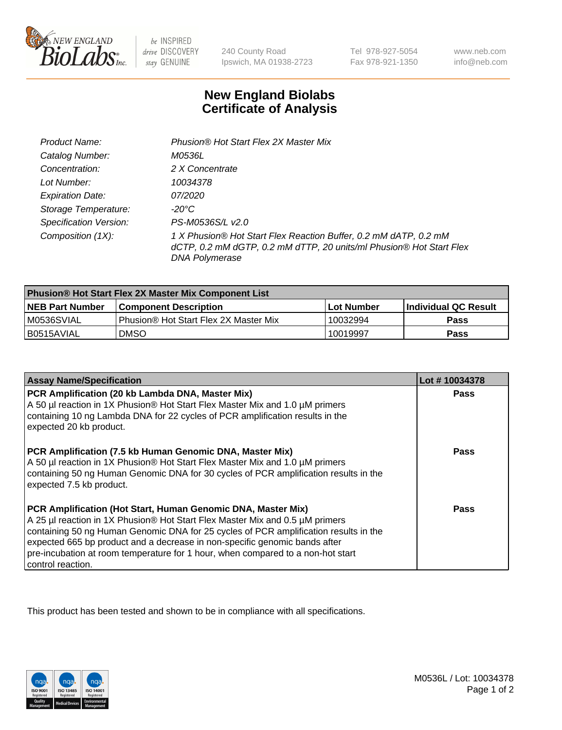

be INSPIRED drive DISCOVERY stay GENUINE

240 County Road Ipswich, MA 01938-2723

Tel 978-927-5054 Fax 978-921-1350

www.neb.com info@neb.com

## **New England Biolabs Certificate of Analysis**

| Product Name:                 | Phusion® Hot Start Flex 2X Master Mix                                                                                                                     |
|-------------------------------|-----------------------------------------------------------------------------------------------------------------------------------------------------------|
| Catalog Number:               | <i>M0536L</i>                                                                                                                                             |
| Concentration:                | 2 X Concentrate                                                                                                                                           |
| Lot Number:                   | 10034378                                                                                                                                                  |
| <b>Expiration Date:</b>       | <i>07/2020</i>                                                                                                                                            |
| Storage Temperature:          | -20°C                                                                                                                                                     |
| <b>Specification Version:</b> | PS-M0536S/L v2.0                                                                                                                                          |
| Composition (1X):             | 1 X Phusion® Hot Start Flex Reaction Buffer, 0.2 mM dATP, 0.2 mM<br>dCTP, 0.2 mM dGTP, 0.2 mM dTTP, 20 units/ml Phusion® Hot Start Flex<br>DNA Polymerase |

| <b>Phusion® Hot Start Flex 2X Master Mix Component List</b> |                                       |            |                      |  |
|-------------------------------------------------------------|---------------------------------------|------------|----------------------|--|
| <b>NEB Part Number</b>                                      | <b>Component Description</b>          | Lot Number | Individual QC Result |  |
| M0536SVIAL                                                  | Phusion® Hot Start Flex 2X Master Mix | 10032994   | <b>Pass</b>          |  |
| I B0515AVIAL                                                | <b>DMSO</b>                           | 10019997   | <b>Pass</b>          |  |

| <b>Assay Name/Specification</b>                                                                                                                                                                                                                                                                                                                                                                                            | Lot #10034378 |
|----------------------------------------------------------------------------------------------------------------------------------------------------------------------------------------------------------------------------------------------------------------------------------------------------------------------------------------------------------------------------------------------------------------------------|---------------|
| PCR Amplification (20 kb Lambda DNA, Master Mix)<br>A 50 µl reaction in 1X Phusion® Hot Start Flex Master Mix and 1.0 µM primers<br>containing 10 ng Lambda DNA for 22 cycles of PCR amplification results in the<br>expected 20 kb product.                                                                                                                                                                               | Pass          |
| PCR Amplification (7.5 kb Human Genomic DNA, Master Mix)<br>A 50 µl reaction in 1X Phusion® Hot Start Flex Master Mix and 1.0 µM primers<br>containing 50 ng Human Genomic DNA for 30 cycles of PCR amplification results in the<br>expected 7.5 kb product.                                                                                                                                                               | <b>Pass</b>   |
| PCR Amplification (Hot Start, Human Genomic DNA, Master Mix)<br>A 25 µl reaction in 1X Phusion® Hot Start Flex Master Mix and 0.5 µM primers<br>containing 50 ng Human Genomic DNA for 25 cycles of PCR amplification results in the<br>expected 665 bp product and a decrease in non-specific genomic bands after<br>pre-incubation at room temperature for 1 hour, when compared to a non-hot start<br>control reaction. | Pass          |

This product has been tested and shown to be in compliance with all specifications.